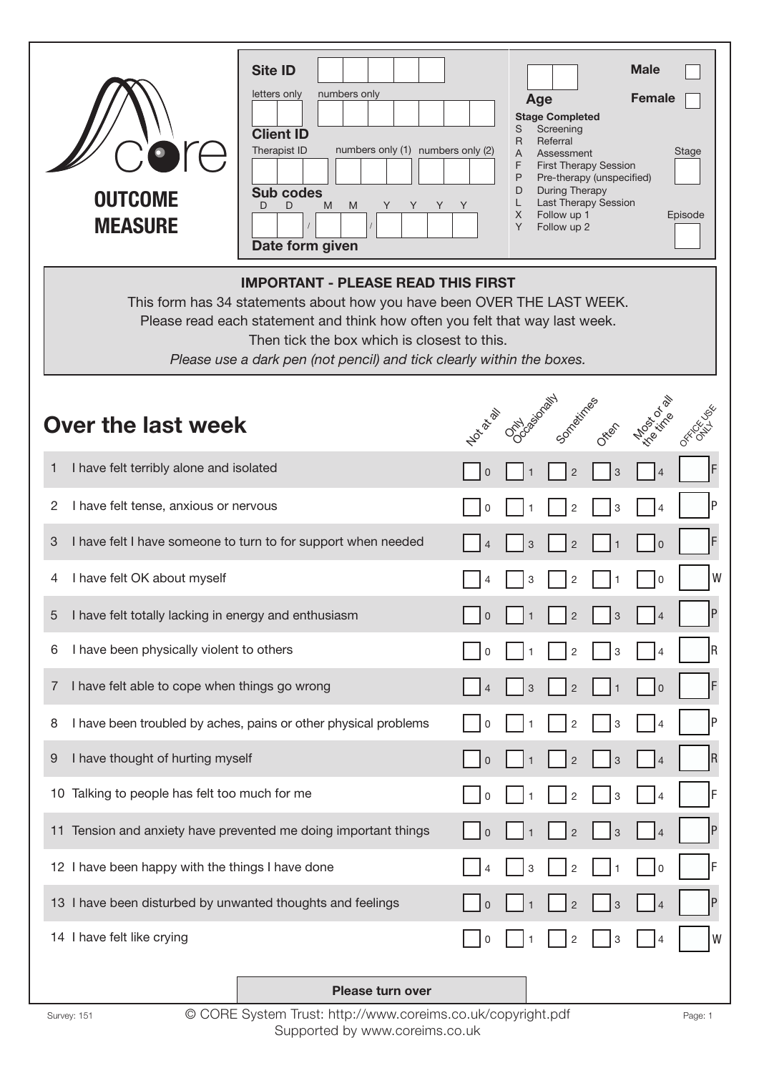| $\bullet$ re<br><b>OUTCOME</b><br><b>MEASURE</b>                                                                                                                                                                                                                                                                            | <b>Site ID</b><br>letters only<br>numbers only<br><b>Client ID</b><br>Therapist ID<br>numbers only (1) numbers only (2)<br><b>Sub codes</b><br>D<br>D<br>M<br>M<br>Y<br>Y<br>Y<br>Date form given | Y | Age<br><b>Stage Completed</b><br>S<br>Screening<br>Referral<br>R<br>A<br>Assessment<br>F<br>P<br>During Therapy<br>D<br>L<br>$X -$<br>Follow up 1<br>Y<br>Follow up 2 | <b>First Therapy Session</b><br>Pre-therapy (unspecified)<br>Last Therapy Session | <b>Male</b><br><b>Female</b> | Stage<br>Episode |
|-----------------------------------------------------------------------------------------------------------------------------------------------------------------------------------------------------------------------------------------------------------------------------------------------------------------------------|---------------------------------------------------------------------------------------------------------------------------------------------------------------------------------------------------|---|-----------------------------------------------------------------------------------------------------------------------------------------------------------------------|-----------------------------------------------------------------------------------|------------------------------|------------------|
| <b>IMPORTANT - PLEASE READ THIS FIRST</b><br>This form has 34 statements about how you have been OVER THE LAST WEEK.<br>Please read each statement and think how often you felt that way last week.<br>Then tick the box which is closest to this.<br>Please use a dark pen (not pencil) and tick clearly within the boxes. |                                                                                                                                                                                                   |   |                                                                                                                                                                       |                                                                                   |                              |                  |
| Not rate<br>Over the last week                                                                                                                                                                                                                                                                                              |                                                                                                                                                                                                   |   | Topiadoraily contentines                                                                                                                                              |                                                                                   | Mook of W                    |                  |
| 1<br>I have felt terribly alone and isolated                                                                                                                                                                                                                                                                                |                                                                                                                                                                                                   |   | $\overline{2}$                                                                                                                                                        | 3                                                                                 |                              |                  |
| 2<br>I have felt tense, anxious or nervous                                                                                                                                                                                                                                                                                  |                                                                                                                                                                                                   |   | $\overline{2}$                                                                                                                                                        | 3                                                                                 | $\overline{4}$               | P                |
| I have felt I have someone to turn to for support when needed<br>3                                                                                                                                                                                                                                                          |                                                                                                                                                                                                   |   | 3<br>$\overline{2}$                                                                                                                                                   |                                                                                   | 0                            | F                |
| I have felt OK about myself<br>4                                                                                                                                                                                                                                                                                            |                                                                                                                                                                                                   |   | 3<br>2                                                                                                                                                                |                                                                                   | 0                            | W                |
| I have felt totally lacking in energy and enthusiasm<br>5                                                                                                                                                                                                                                                                   |                                                                                                                                                                                                   | 0 | $\overline{2}$                                                                                                                                                        | 3                                                                                 | $\overline{4}$               | P                |
| I have been physically violent to others<br>6                                                                                                                                                                                                                                                                               |                                                                                                                                                                                                   |   | 2                                                                                                                                                                     | 3                                                                                 |                              | R                |
| I have felt able to cope when things go wrong<br>7                                                                                                                                                                                                                                                                          |                                                                                                                                                                                                   |   | $\overline{2}$<br>3                                                                                                                                                   | $\mathbf{1}$                                                                      | $\mathbf 0$                  | F                |
| I have been troubled by aches, pains or other physical problems<br>8                                                                                                                                                                                                                                                        |                                                                                                                                                                                                   | 0 | $\overline{2}$                                                                                                                                                        | 3                                                                                 | $\overline{4}$               | P                |
| I have thought of hurting myself<br>9                                                                                                                                                                                                                                                                                       |                                                                                                                                                                                                   | 0 | $\overline{2}$                                                                                                                                                        | 3                                                                                 |                              | $\overline{R}$   |
| 10 Talking to people has felt too much for me                                                                                                                                                                                                                                                                               |                                                                                                                                                                                                   | 0 | $\overline{2}$                                                                                                                                                        | 3                                                                                 |                              | F                |
| 11 Tension and anxiety have prevented me doing important things                                                                                                                                                                                                                                                             |                                                                                                                                                                                                   | 0 | $\overline{2}$                                                                                                                                                        | $\ensuremath{\mathsf{3}}$                                                         | $\overline{4}$               | $\mathsf{P}$     |
| 12 I have been happy with the things I have done                                                                                                                                                                                                                                                                            |                                                                                                                                                                                                   |   | $\overline{2}$<br>3                                                                                                                                                   |                                                                                   | $\mathbf 0$                  | F                |
| 13 I have been disturbed by unwanted thoughts and feelings                                                                                                                                                                                                                                                                  |                                                                                                                                                                                                   | 0 | $\overline{c}$                                                                                                                                                        | $\ensuremath{\mathsf{3}}$                                                         | $\overline{4}$               | P                |
| 14 I have felt like crying                                                                                                                                                                                                                                                                                                  |                                                                                                                                                                                                   |   | 2                                                                                                                                                                     | 3                                                                                 |                              | W                |
|                                                                                                                                                                                                                                                                                                                             | Please turn over                                                                                                                                                                                  |   |                                                                                                                                                                       |                                                                                   |                              |                  |

Survey: 151 © CORE System Trust: http://www.coreims.co.uk/copyright.pdf Page: 1 Supported by www.coreims.co.uk